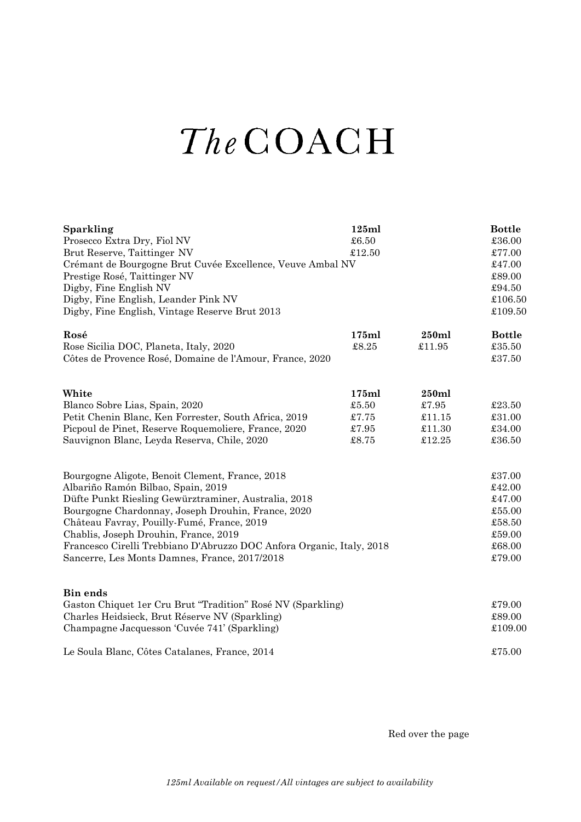## The COACH

| <b>Sparkling</b>                                                                                    | 125ml          |                  | <b>Bottle</b>            |
|-----------------------------------------------------------------------------------------------------|----------------|------------------|--------------------------|
| Prosecco Extra Dry, Fiol NV                                                                         | £6.50          |                  | £36.00                   |
| Brut Reserve, Taittinger NV                                                                         | £12.50         |                  | £77.00                   |
| Crémant de Bourgogne Brut Cuvée Excellence, Veuve Ambal NV                                          |                |                  | £47.00                   |
| Prestige Rosé, Taittinger NV                                                                        |                |                  | £89.00                   |
| Digby, Fine English NV                                                                              |                |                  | £94.50                   |
| Digby, Fine English, Leander Pink NV                                                                |                |                  | £106.50                  |
| Digby, Fine English, Vintage Reserve Brut 2013                                                      |                |                  | £109.50                  |
| Rosé                                                                                                | 175ml          | 250ml            | <b>Bottle</b>            |
| Rose Sicilia DOC, Planeta, Italy, 2020                                                              | £8.25          | £11.95           | £35.50                   |
| Côtes de Provence Rosé, Domaine de l'Amour, France, 2020                                            |                |                  | £37.50                   |
|                                                                                                     |                |                  |                          |
| White                                                                                               | 175ml          | 250ml            |                          |
| Blanco Sobre Lias, Spain, 2020                                                                      | £5.50          | £7.95            | £23.50                   |
| Petit Chenin Blanc, Ken Forrester, South Africa, 2019                                               | £7.75<br>£7.95 | £11.15<br>£11.30 | £31.00<br>$\pounds34.00$ |
| Picpoul de Pinet, Reserve Roquemoliere, France, 2020<br>Sauvignon Blanc, Leyda Reserva, Chile, 2020 | £8.75          | \$12.25          | £36.50                   |
|                                                                                                     |                |                  |                          |
| Bourgogne Aligote, Benoit Clement, France, 2018                                                     |                |                  | £37.00                   |
| Albariño Ramón Bilbao, Spain, 2019                                                                  |                |                  | £42.00                   |
| Düfte Punkt Riesling Gewürztraminer, Australia, 2018                                                |                |                  | £47.00                   |
| Bourgogne Chardonnay, Joseph Drouhin, France, 2020                                                  |                |                  | £55.00                   |
| Château Favray, Pouilly-Fumé, France, 2019                                                          |                |                  | £58.50                   |
| Chablis, Joseph Drouhin, France, 2019                                                               |                |                  | £59.00                   |
| Francesco Cirelli Trebbiano D'Abruzzo DOC Anfora Organic, Italy, 2018                               |                |                  | £68.00                   |
| Sancerre, Les Monts Damnes, France, 2017/2018                                                       |                |                  | £79.00                   |
| <b>Bin ends</b>                                                                                     |                |                  |                          |
| Gaston Chiquet 1er Cru Brut "Tradition" Rosé NV (Sparkling)                                         |                |                  | £79.00                   |
| Charles Heidsieck, Brut Réserve NV (Sparkling)                                                      |                |                  | £89.00                   |
| Champagne Jacquesson 'Cuvée 741' (Sparkling)                                                        |                |                  | £109.00                  |
| Le Soula Blanc, Côtes Catalanes, France, 2014                                                       |                |                  | £75.00                   |
|                                                                                                     |                |                  |                          |

Red over the page

*125ml Available on request/All vintages are subject to availability*